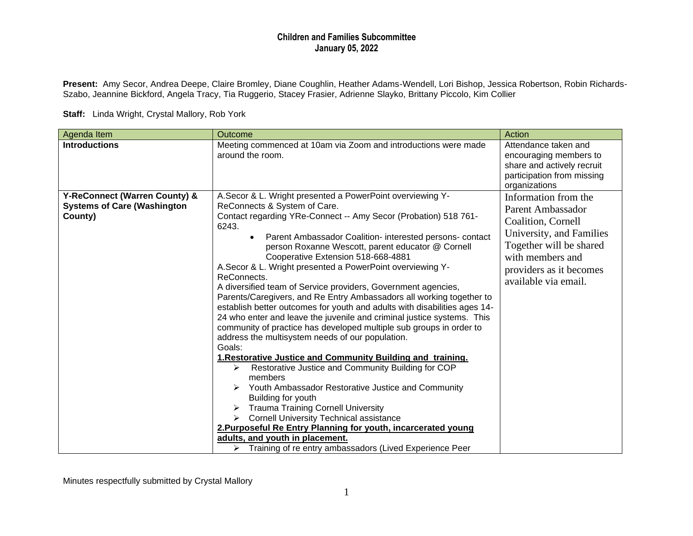**Present:** Amy Secor, Andrea Deepe, Claire Bromley, Diane Coughlin, Heather Adams-Wendell, Lori Bishop, Jessica Robertson, Robin Richards-Szabo, Jeannine Bickford, Angela Tracy, Tia Ruggerio, Stacey Frasier, Adrienne Slayko, Brittany Piccolo, Kim Collier

**Staff:** Linda Wright, Crystal Mallory, Rob York

| Agenda Item                                                                    | Outcome                                                                                                                                                                                                                                                                                                                                                                                                                                                                                                                                                                                                                                                                                                                                                                                                                                                                                                                                                                                                                                                                                                                                                                                                                                                                                           | Action                                                                                                                                                                                        |
|--------------------------------------------------------------------------------|---------------------------------------------------------------------------------------------------------------------------------------------------------------------------------------------------------------------------------------------------------------------------------------------------------------------------------------------------------------------------------------------------------------------------------------------------------------------------------------------------------------------------------------------------------------------------------------------------------------------------------------------------------------------------------------------------------------------------------------------------------------------------------------------------------------------------------------------------------------------------------------------------------------------------------------------------------------------------------------------------------------------------------------------------------------------------------------------------------------------------------------------------------------------------------------------------------------------------------------------------------------------------------------------------|-----------------------------------------------------------------------------------------------------------------------------------------------------------------------------------------------|
| <b>Introductions</b>                                                           | Meeting commenced at 10am via Zoom and introductions were made<br>around the room.                                                                                                                                                                                                                                                                                                                                                                                                                                                                                                                                                                                                                                                                                                                                                                                                                                                                                                                                                                                                                                                                                                                                                                                                                | Attendance taken and<br>encouraging members to<br>share and actively recruit<br>participation from missing<br>organizations                                                                   |
| Y-ReConnect (Warren County) &<br><b>Systems of Care (Washington</b><br>County) | A. Secor & L. Wright presented a PowerPoint overviewing Y-<br>ReConnects & System of Care.<br>Contact regarding YRe-Connect -- Amy Secor (Probation) 518 761-<br>6243.<br>Parent Ambassador Coalition- interested persons- contact<br>person Roxanne Wescott, parent educator @ Cornell<br>Cooperative Extension 518-668-4881<br>A. Secor & L. Wright presented a PowerPoint overviewing Y-<br>ReConnects.<br>A diversified team of Service providers, Government agencies,<br>Parents/Caregivers, and Re Entry Ambassadors all working together to<br>establish better outcomes for youth and adults with disabilities ages 14-<br>24 who enter and leave the juvenile and criminal justice systems. This<br>community of practice has developed multiple sub groups in order to<br>address the multisystem needs of our population.<br>Goals:<br>1. Restorative Justice and Community Building and training.<br>Restorative Justice and Community Building for COP<br>➤<br>members<br>Youth Ambassador Restorative Justice and Community<br>Building for youth<br><b>Trauma Training Cornell University</b><br>➤<br><b>Cornell University Technical assistance</b><br>$\blacktriangleright$<br>2. Purposeful Re Entry Planning for youth, incarcerated young<br>adults, and youth in placement. | Information from the<br>Parent Ambassador<br>Coalition, Cornell<br>University, and Families<br>Together will be shared<br>with members and<br>providers as it becomes<br>available via email. |
|                                                                                | $\triangleright$ Training of re entry ambassadors (Lived Experience Peer                                                                                                                                                                                                                                                                                                                                                                                                                                                                                                                                                                                                                                                                                                                                                                                                                                                                                                                                                                                                                                                                                                                                                                                                                          |                                                                                                                                                                                               |

Minutes respectfully submitted by Crystal Mallory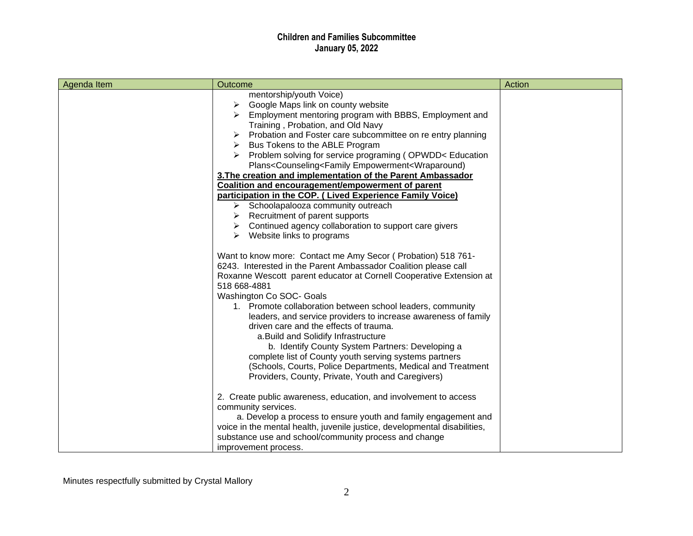| Agenda Item | Outcome                                                                                                                                                                                                                                                                                                                                                                                                                                                                                                                                                                                                                                                                                                                                                                                                                                                                                                                                                                                                                                                                                                                                                                                                                                                                                                                                                                                                                                                                                                                                                                                                        | Action |
|-------------|----------------------------------------------------------------------------------------------------------------------------------------------------------------------------------------------------------------------------------------------------------------------------------------------------------------------------------------------------------------------------------------------------------------------------------------------------------------------------------------------------------------------------------------------------------------------------------------------------------------------------------------------------------------------------------------------------------------------------------------------------------------------------------------------------------------------------------------------------------------------------------------------------------------------------------------------------------------------------------------------------------------------------------------------------------------------------------------------------------------------------------------------------------------------------------------------------------------------------------------------------------------------------------------------------------------------------------------------------------------------------------------------------------------------------------------------------------------------------------------------------------------------------------------------------------------------------------------------------------------|--------|
|             | mentorship/youth Voice)<br>Google Maps link on county website<br>➤<br>Employment mentoring program with BBBS, Employment and<br>Training, Probation, and Old Navy<br>Probation and Foster care subcommittee on re entry planning<br>➤<br>Bus Tokens to the ABLE Program<br>➤<br>Problem solving for service programing (OPWDD< Education<br>Plans <counseling<family empowerment<wraparound)<br="">3. The creation and implementation of the Parent Ambassador<br/>Coalition and encouragement/empowerment of parent<br/>participation in the COP. (Lived Experience Family Voice)<br/><math>\triangleright</math> Schoolapalooza community outreach<br/><math>\triangleright</math> Recruitment of parent supports<br/><math>\triangleright</math> Continued agency collaboration to support care givers<br/><math>\triangleright</math> Website links to programs<br/>Want to know more: Contact me Amy Secor (Probation) 518 761-<br/>6243. Interested in the Parent Ambassador Coalition please call<br/>Roxanne Wescott parent educator at Cornell Cooperative Extension at<br/>518 668-4881<br/>Washington Co SOC- Goals<br/>1. Promote collaboration between school leaders, community<br/>leaders, and service providers to increase awareness of family<br/>driven care and the effects of trauma.<br/>a. Build and Solidify Infrastructure<br/>b. Identify County System Partners: Developing a<br/>complete list of County youth serving systems partners<br/>(Schools, Courts, Police Departments, Medical and Treatment<br/>Providers, County, Private, Youth and Caregivers)</counseling<family> |        |
|             | 2. Create public awareness, education, and involvement to access<br>community services.<br>a. Develop a process to ensure youth and family engagement and<br>voice in the mental health, juvenile justice, developmental disabilities,<br>substance use and school/community process and change<br>improvement process.                                                                                                                                                                                                                                                                                                                                                                                                                                                                                                                                                                                                                                                                                                                                                                                                                                                                                                                                                                                                                                                                                                                                                                                                                                                                                        |        |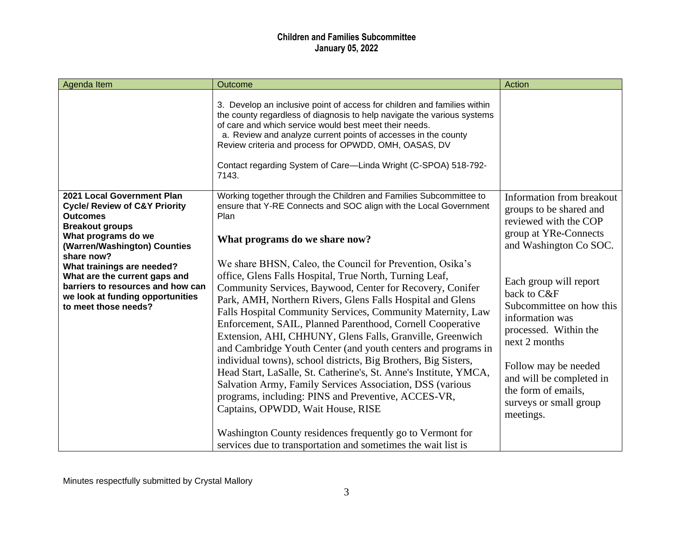| Agenda Item                                                                                                                                                                                                                                                                                                                                              | Outcome                                                                                                                                                                                                                                                                                                                                                                                                                                                                                                                                                                                                                                                                                                                                                            | Action                                                                                                                                                                                                                                                                                     |
|----------------------------------------------------------------------------------------------------------------------------------------------------------------------------------------------------------------------------------------------------------------------------------------------------------------------------------------------------------|--------------------------------------------------------------------------------------------------------------------------------------------------------------------------------------------------------------------------------------------------------------------------------------------------------------------------------------------------------------------------------------------------------------------------------------------------------------------------------------------------------------------------------------------------------------------------------------------------------------------------------------------------------------------------------------------------------------------------------------------------------------------|--------------------------------------------------------------------------------------------------------------------------------------------------------------------------------------------------------------------------------------------------------------------------------------------|
|                                                                                                                                                                                                                                                                                                                                                          | 3. Develop an inclusive point of access for children and families within<br>the county regardless of diagnosis to help navigate the various systems<br>of care and which service would best meet their needs.<br>a. Review and analyze current points of accesses in the county<br>Review criteria and process for OPWDD, OMH, OASAS, DV<br>Contact regarding System of Care-Linda Wright (C-SPOA) 518-792-<br>7143.                                                                                                                                                                                                                                                                                                                                               |                                                                                                                                                                                                                                                                                            |
| 2021 Local Government Plan<br><b>Cycle/ Review of C&amp;Y Priority</b><br><b>Outcomes</b><br><b>Breakout groups</b><br>What programs do we<br>(Warren/Washington) Counties<br>share now?<br>What trainings are needed?<br>What are the current gaps and<br>barriers to resources and how can<br>we look at funding opportunities<br>to meet those needs? | Working together through the Children and Families Subcommittee to<br>ensure that Y-RE Connects and SOC align with the Local Government<br>Plan<br>What programs do we share now?<br>We share BHSN, Caleo, the Council for Prevention, Osika's<br>office, Glens Falls Hospital, True North, Turning Leaf,<br>Community Services, Baywood, Center for Recovery, Conifer<br>Park, AMH, Northern Rivers, Glens Falls Hospital and Glens<br>Falls Hospital Community Services, Community Maternity, Law<br>Enforcement, SAIL, Planned Parenthood, Cornell Cooperative<br>Extension, AHI, CHHUNY, Glens Falls, Granville, Greenwich<br>and Cambridge Youth Center (and youth centers and programs in<br>individual towns), school districts, Big Brothers, Big Sisters, | Information from breakout<br>groups to be shared and<br>reviewed with the COP<br>group at YRe-Connects<br>and Washington Co SOC.<br>Each group will report<br>back to C&F<br>Subcommittee on how this<br>information was<br>processed. Within the<br>next 2 months<br>Follow may be needed |
|                                                                                                                                                                                                                                                                                                                                                          | Head Start, LaSalle, St. Catherine's, St. Anne's Institute, YMCA,<br>Salvation Army, Family Services Association, DSS (various<br>programs, including: PINS and Preventive, ACCES-VR,<br>Captains, OPWDD, Wait House, RISE<br>Washington County residences frequently go to Vermont for<br>services due to transportation and sometimes the wait list is                                                                                                                                                                                                                                                                                                                                                                                                           | and will be completed in<br>the form of emails,<br>surveys or small group<br>meetings.                                                                                                                                                                                                     |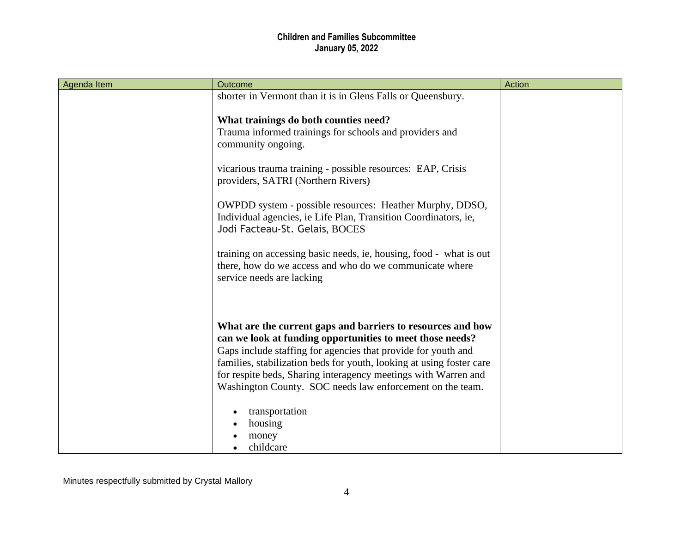| Agenda Item | Outcome                                                                                           | Action |
|-------------|---------------------------------------------------------------------------------------------------|--------|
|             | shorter in Vermont than it is in Glens Falls or Queensbury.                                       |        |
|             |                                                                                                   |        |
|             | What trainings do both counties need?                                                             |        |
|             | Trauma informed trainings for schools and providers and                                           |        |
|             | community ongoing.                                                                                |        |
|             |                                                                                                   |        |
|             | vicarious trauma training - possible resources: EAP, Crisis<br>providers, SATRI (Northern Rivers) |        |
|             |                                                                                                   |        |
|             | OWPDD system - possible resources: Heather Murphy, DDSO,                                          |        |
|             | Individual agencies, ie Life Plan, Transition Coordinators, ie,                                   |        |
|             | Jodi Facteau-St. Gelais, BOCES                                                                    |        |
|             |                                                                                                   |        |
|             | training on accessing basic needs, ie, housing, food - what is out                                |        |
|             | there, how do we access and who do we communicate where                                           |        |
|             | service needs are lacking                                                                         |        |
|             |                                                                                                   |        |
|             |                                                                                                   |        |
|             | What are the current gaps and barriers to resources and how                                       |        |
|             | can we look at funding opportunities to meet those needs?                                         |        |
|             | Gaps include staffing for agencies that provide for youth and                                     |        |
|             | families, stabilization beds for youth, looking at using foster care                              |        |
|             | for respite beds, Sharing interagency meetings with Warren and                                    |        |
|             | Washington County. SOC needs law enforcement on the team.                                         |        |
|             |                                                                                                   |        |
|             | transportation                                                                                    |        |
|             | housing                                                                                           |        |
|             | money                                                                                             |        |
|             | childcare                                                                                         |        |